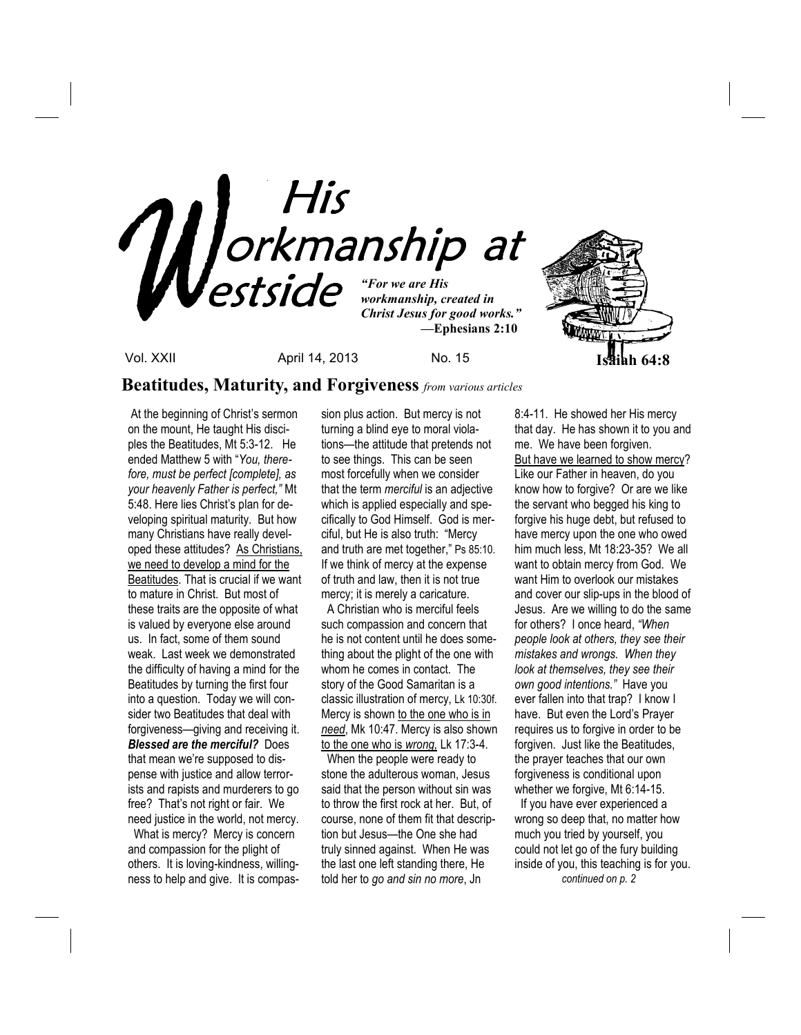

**Beatitudes, Maturity, and Forgiveness** *from various articles*

 At the beginning of Christ's sermon on the mount, He taught His disciples the Beatitudes, Mt 5:3-12. He ended Matthew 5 with "*You, therefore, must be perfect [complete], as your heavenly Father is perfect,"* Mt 5:48. Here lies Christ's plan for developing spiritual maturity. But how many Christians have really developed these attitudes? As Christians, we need to develop a mind for the Beatitudes. That is crucial if we want to mature in Christ. But most of these traits are the opposite of what is valued by everyone else around us. In fact, some of them sound weak. Last week we demonstrated the difficulty of having a mind for the Beatitudes by turning the first four into a question. Today we will consider two Beatitudes that deal with forgiveness—giving and receiving it. *Blessed are the merciful?* Does that mean we're supposed to dispense with justice and allow terrorists and rapists and murderers to go free? That's not right or fair. We need justice in the world, not mercy.

 What is mercy? Mercy is concern and compassion for the plight of others. It is loving-kindness, willingness to help and give. It is compassion plus action. But mercy is not turning a blind eye to moral violations—the attitude that pretends not to see things. This can be seen most forcefully when we consider that the term *merciful* is an adjective which is applied especially and specifically to God Himself. God is merciful, but He is also truth: "Mercy and truth are met together," Ps 85:10. If we think of mercy at the expense of truth and law, then it is not true mercy; it is merely a caricature.

 A Christian who is merciful feels such compassion and concern that he is not content until he does something about the plight of the one with whom he comes in contact. The story of the Good Samaritan is a classic illustration of mercy, Lk 10:30f. Mercy is shown to the one who is in *need*, Mk 10:47. Mercy is also shown to the one who is *wrong,* Lk 17:3-4.

 When the people were ready to stone the adulterous woman, Jesus said that the person without sin was to throw the first rock at her. But, of course, none of them fit that description but Jesus—the One she had truly sinned against. When He was the last one left standing there, He told her to *go and sin no more*, Jn

8:4-11. He showed her His mercy that day. He has shown it to you and me. We have been forgiven. But have we learned to show mercy? Like our Father in heaven, do you know how to forgive? Or are we like the servant who begged his king to forgive his huge debt, but refused to have mercy upon the one who owed him much less, Mt 18:23-35? We all want to obtain mercy from God. We want Him to overlook our mistakes and cover our slip-ups in the blood of Jesus. Are we willing to do the same for others? I once heard, *"When people look at others, they see their mistakes and wrongs. When they look at themselves, they see their own good intentions."* Have you ever fallen into that trap? I know I have. But even the Lord's Prayer requires us to forgive in order to be forgiven. Just like the Beatitudes, the prayer teaches that our own forgiveness is conditional upon whether we forgive, Mt 6:14-15.

 If you have ever experienced a wrong so deep that, no matter how much you tried by yourself, you could not let go of the fury building inside of you, this teaching is for you.  *continued on p. 2*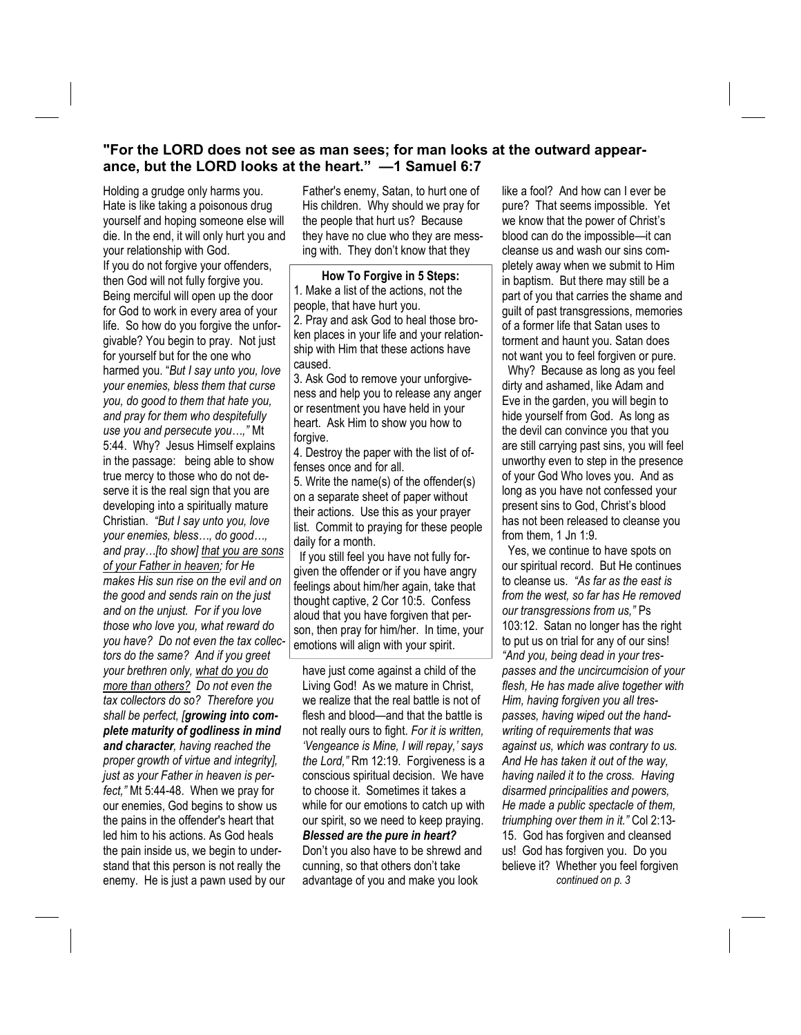## **"For the LORD does not see as man sees; for man looks at the outward appearance, but the LORD looks at the heart." —1 Samuel 6:7**

Holding a grudge only harms you. Hate is like taking a poisonous drug yourself and hoping someone else will die. In the end, it will only hurt you and your relationship with God.

If you do not forgive your offenders, then God will not fully forgive you. Being merciful will open up the door for God to work in every area of your life. So how do you forgive the unforgivable? You begin to pray. Not just for yourself but for the one who harmed you. "*But I say unto you, love your enemies, bless them that curse you, do good to them that hate you, and pray for them who despitefully use you and persecute you…,"* Mt 5:44. Why? Jesus Himself explains in the passage: being able to show true mercy to those who do not deserve it is the real sign that you are developing into a spiritually mature Christian. *"But I say unto you, love your enemies, bless…, do good…, and pray…[to show] that you are sons of your Father in heaven; for He makes His sun rise on the evil and on the good and sends rain on the just and on the unjust. For if you love those who love you, what reward do you have? Do not even the tax collectors do the same? And if you greet your brethren only, what do you do more than others? Do not even the tax collectors do so? Therefore you shall be perfect, [growing into complete maturity of godliness in mind and character, having reached the proper growth of virtue and integrity], just as your Father in heaven is perfect,"* Mt 5:44-48. When we pray for our enemies, God begins to show us the pains in the offender's heart that led him to his actions. As God heals the pain inside us, we begin to understand that this person is not really the enemy. He is just a pawn used by our

Father's enemy, Satan, to hurt one of His children. Why should we pray for the people that hurt us? Because they have no clue who they are messing with. They don't know that they

**How To Forgive in 5 Steps:** 1. Make a list of the actions, not the people, that have hurt you. 2. Pray and ask God to heal those broken places in your life and your relationship with Him that these actions have caused.

3. Ask God to remove your unforgiveness and help you to release any anger or resentment you have held in your heart. Ask Him to show you how to forgive.

4. Destroy the paper with the list of offenses once and for all.

5. Write the name(s) of the offender(s) on a separate sheet of paper without their actions. Use this as your prayer list. Commit to praying for these people daily for a month.

 If you still feel you have not fully forgiven the offender or if you have angry feelings about him/her again, take that thought captive, 2 Cor 10:5. Confess aloud that you have forgiven that person, then pray for him/her. In time, your emotions will align with your spirit.

have just come against a child of the Living God! As we mature in Christ, we realize that the real battle is not of flesh and blood—and that the battle is not really ours to fight. *For it is written, 'Vengeance is Mine, I will repay,' says the Lord,"* Rm 12:19. Forgiveness is a conscious spiritual decision. We have to choose it. Sometimes it takes a while for our emotions to catch up with our spirit, so we need to keep praying. *Blessed are the pure in heart?* Don't you also have to be shrewd and cunning, so that others don't take advantage of you and make you look

like a fool? And how can I ever be pure? That seems impossible. Yet we know that the power of Christ's blood can do the impossible—it can cleanse us and wash our sins completely away when we submit to Him in baptism. But there may still be a part of you that carries the shame and guilt of past transgressions, memories of a former life that Satan uses to torment and haunt you. Satan does not want you to feel forgiven or pure.

 Why? Because as long as you feel dirty and ashamed, like Adam and Eve in the garden, you will begin to hide yourself from God. As long as the devil can convince you that you are still carrying past sins, you will feel unworthy even to step in the presence of your God Who loves you. And as long as you have not confessed your present sins to God, Christ's blood has not been released to cleanse you from them, 1 Jn 1:9.

 Yes, we continue to have spots on our spiritual record. But He continues to cleanse us. *"As far as the east is from the west, so far has He removed our transgressions from us,"* Ps 103:12. Satan no longer has the right to put us on trial for any of our sins! *"And you, being dead in your trespasses and the uncircumcision of your flesh, He has made alive together with Him, having forgiven you all trespasses, having wiped out the handwriting of requirements that was against us, which was contrary to us. And He has taken it out of the way, having nailed it to the cross. Having disarmed principalities and powers, He made a public spectacle of them, triumphing over them in it."* Col 2:13- 15. God has forgiven and cleansed us! God has forgiven you. Do you believe it? Whether you feel forgiven *continued on p. 3*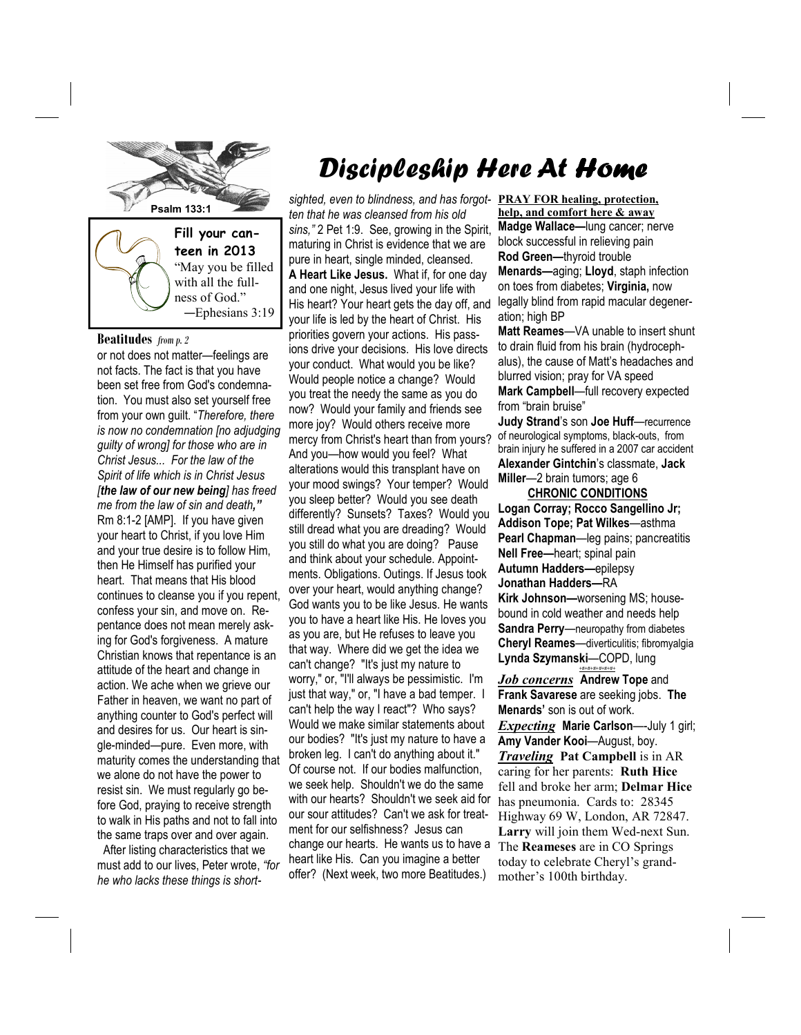

with all the fullness of God." —Ephesians 3:19

#### **Beatitudes** *from p. 2*

or not does not matter—feelings are not facts. The fact is that you have been set free from God's condemnation. You must also set yourself free from your own guilt. "*Therefore, there is now no condemnation [no adjudging guilty of wrong] for those who are in Christ Jesus... For the law of the Spirit of life which is in Christ Jesus [the law of our new being] has freed me from the law of sin and death,"*  Rm 8:1-2 [AMP]. If you have given your heart to Christ, if you love Him and your true desire is to follow Him, then He Himself has purified your heart. That means that His blood continues to cleanse you if you repent, confess your sin, and move on. Repentance does not mean merely asking for God's forgiveness. A mature Christian knows that repentance is an attitude of the heart and change in action. We ache when we grieve our Father in heaven, we want no part of anything counter to God's perfect will and desires for us. Our heart is single-minded—pure. Even more, with maturity comes the understanding that we alone do not have the power to resist sin. We must regularly go before God, praying to receive strength to walk in His paths and not to fall into the same traps over and over again.

 After listing characteristics that we must add to our lives, Peter wrote, *"for he who lacks these things is short-*

# Discipleship Here At Home

*sighted, even to blindness, and has forgot-***PRAY FOR healing, protection,** *ten that he was cleansed from his old sins,"* 2 Pet 1:9. See, growing in the Spirit, maturing in Christ is evidence that we are pure in heart, single minded, cleansed. **A Heart Like Jesus.** What if, for one day and one night, Jesus lived your life with His heart? Your heart gets the day off, and your life is led by the heart of Christ. His priorities govern your actions. His passions drive your decisions. His love directs your conduct. What would you be like? Would people notice a change? Would you treat the needy the same as you do now? Would your family and friends see more joy? Would others receive more mercy from Christ's heart than from yours? And you—how would you feel? What alterations would this transplant have on your mood swings? Your temper? Would you sleep better? Would you see death differently? Sunsets? Taxes? Would you still dread what you are dreading? Would you still do what you are doing? Pause and think about your schedule. Appointments. Obligations. Outings. If Jesus took over your heart, would anything change? God wants you to be like Jesus. He wants you to have a heart like His. He loves you as you are, but He refuses to leave you that way. Where did we get the idea we can't change? "It's just my nature to worry," or, "I'll always be pessimistic. I'm just that way," or, "I have a bad temper. I can't help the way I react"? Who says? Would we make similar statements about our bodies? "It's just my nature to have a broken leg. I can't do anything about it." Of course not. If our bodies malfunction, we seek help. Shouldn't we do the same with our hearts? Shouldn't we seek aid for our sour attitudes? Can't we ask for treatment for our selfishness? Jesus can change our hearts. He wants us to have a heart like His. Can you imagine a better offer? (Next week, two more Beatitudes.)

**help, and comfort here & away Madge Wallace—**lung cancer; nerve block successful in relieving pain **Rod Green—**thyroid trouble **Menards—**aging; **Lloyd**, staph infection on toes from diabetes; **Virginia,** now legally blind from rapid macular degeneration; high BP

**Matt Reames**—VA unable to insert shunt to drain fluid from his brain (hydrocephalus), the cause of Matt's headaches and blurred vision; pray for VA speed **Mark Campbell**—full recovery expected from "brain bruise"

**Judy Strand**'s son **Joe Huff**—recurrence of neurological symptoms, black-outs, from brain injury he suffered in a 2007 car accident **Alexander Gintchin**'s classmate, **Jack Miller**—2 brain tumors; age 6

#### **CHRONIC CONDITIONS**

**Logan Corray; Rocco Sangellino Jr; Addison Tope; Pat Wilkes**—asthma **Pearl Chapman**—leg pains; pancreatitis **Nell Free—**heart; spinal pain **Autumn Hadders—**epilepsy **Jonathan Hadders—**RA **Kirk Johnson—**worsening MS; housebound in cold weather and needs help **Sandra Perry**—neuropathy from diabetes

**Cheryl Reames**—diverticulitis; fibromyalgia **Lynda Szymanski**—COPD, lung *+#+#+#+#+#+#+*

*Job concerns* **Andrew Tope** and **Frank Savarese** are seeking jobs. **The Menards'** son is out of work. *Expecting* **Marie Carlson**—-July 1 girl; **Amy Vander Kooi**—August, boy. *Traveling* **Pat Campbell** is in AR caring for her parents: **Ruth Hice**  fell and broke her arm; **Delmar Hice**  has pneumonia. Cards to: 28345 Highway 69 W, London, AR 72847. **Larry** will join them Wed-next Sun. The **Reameses** are in CO Springs today to celebrate Cheryl's grandmother's 100th birthday.